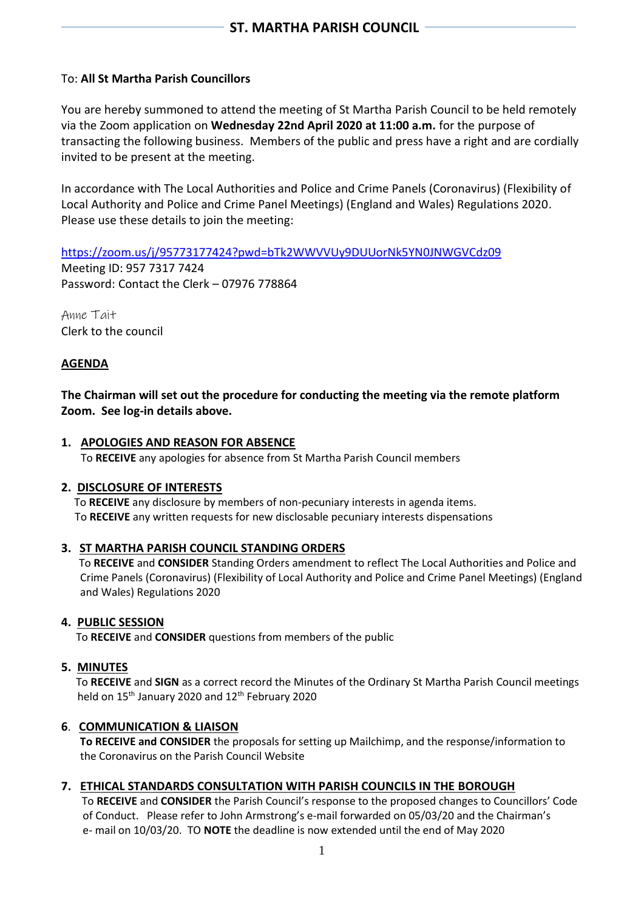# To: **All St Martha Parish Councillors**

You are hereby summoned to attend the meeting of St Martha Parish Council to be held remotely via the Zoom application on **Wednesday 22nd April 2020 at 11:00 a.m.** for the purpose of transacting the following business. Members of the public and press have a right and are cordially invited to be present at the meeting.

In accordance with The Local Authorities and Police and Crime Panels (Coronavirus) (Flexibility of Local Authority and Police and Crime Panel Meetings) (England and Wales) Regulations 2020. Please use these details to join the meeting:

<https://zoom.us/j/95773177424?pwd=bTk2WWVVUy9DUUorNk5YN0JNWGVCdz09>

Meeting ID: 957 7317 7424 Password: Contact the Clerk – 07976 778864

Anne Tait Clerk to the council

## **AGENDA**

**The Chairman will set out the procedure for conducting the meeting via the remote platform Zoom. See log-in details above.**

### **1. APOLOGIES AND REASON FOR ABSENCE**

To **RECEIVE** any apologies for absence from St Martha Parish Council members

#### **2. DISCLOSURE OF INTERESTS**

To **RECEIVE** any disclosure by members of non-pecuniary interests in agenda items. To **RECEIVE** any written requests for new disclosable pecuniary interests dispensations

#### **3. ST MARTHA PARISH COUNCIL STANDING ORDERS**

To **RECEIVE** and **CONSIDER** Standing Orders amendment to reflect The Local Authorities and Police and Crime Panels (Coronavirus) (Flexibility of Local Authority and Police and Crime Panel Meetings) (England and Wales) Regulations 2020

## **4. PUBLIC SESSION**

To **RECEIVE** and **CONSIDER** questions from members of the public

## **5. MINUTES**

To **RECEIVE** and **SIGN** as a correct record the Minutes of the Ordinary St Martha Parish Council meetings held on 15<sup>th</sup> January 2020 and 12<sup>th</sup> February 2020

## **6**. **COMMUNICATION & LIAISON**

 **To RECEIVE and CONSIDER** the proposals for setting up Mailchimp, and the response/information to the Coronavirus on the Parish Council Website

#### **7. ETHICAL STANDARDS CONSULTATION WITH PARISH COUNCILS IN THE BOROUGH**

To **RECEIVE** and **CONSIDER** the Parish Council's response to the proposed changes to Councillors' Code of Conduct. Please refer to John Armstrong's e-mail forwarded on 05/03/20 and the Chairman's e- mail on 10/03/20. TO **NOTE** the deadline is now extended until the end of May 2020